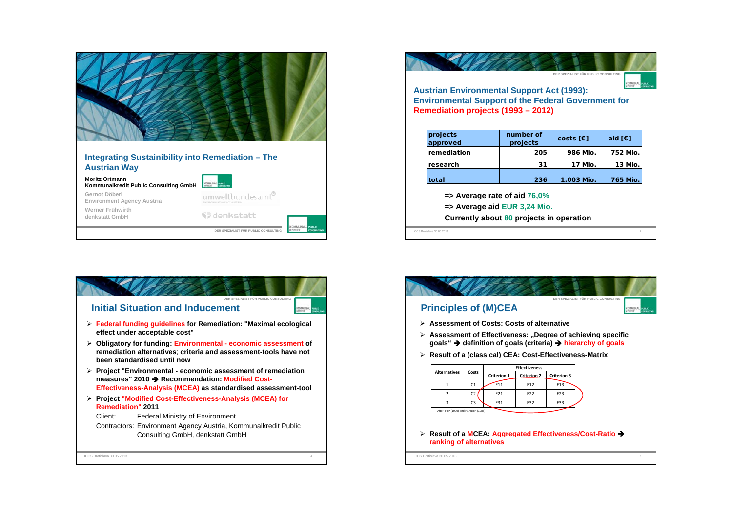| Integrating Sustainibility into Remediation - The<br><b>Austrian Way</b> |                                                         |
|--------------------------------------------------------------------------|---------------------------------------------------------|
| <b>Moritz Ortmann</b><br>Kommunalkredit Public Consulting GmbH           | KOMMUNAL                                                |
| Gernot Döberl<br>Environment Agency Austria                              | umweltbundesamt®                                        |
| Werner Frühwirth<br>denkstatt GmbH                                       | V denkstatt                                             |
|                                                                          | <b>PLUML IS</b><br>DER SPEZIALIST FÜR PUBLIC CONSULTING |

| <b>Austrian Environmental Support Act (1993):</b><br><b>Environmental Support of the Federal Government for</b><br>Remediation projects (1993 - 2012) |                       | DER SPEZIALIST FÜR PUBLIC CONSULTING |                        |
|-------------------------------------------------------------------------------------------------------------------------------------------------------|-----------------------|--------------------------------------|------------------------|
| projects<br>approved                                                                                                                                  | number of<br>projects | costs $F$                            | aid $F \in \mathbb{R}$ |
| remediation                                                                                                                                           | 205                   | 986 Mio.                             | 752 Mio.               |
| research                                                                                                                                              | 31                    | 17 Mio.                              | 13 Mio.                |
| total                                                                                                                                                 | 236                   | 1.003 Mio.                           | 765 Mio.               |
| $\Rightarrow$ Average rate of aid 76,0%<br>$\Rightarrow$ Average aid EUR 3,24 Mio.<br>Currently about 80 projects in operation                        |                       |                                      |                        |

**DER SPEZIALIST FÜR PUBLIC CONSULTING**¾ **Federal funding guidelines for Remediation: "Maximal ecological effect under acceptable cost"** ¾ **Obligatory for funding: Environmental - economic assessment of remediation alternatives**; **criteria and assessment-tools have not been standardised until now** ¾ **Project "Environmental - economic assessment of remediation measures" 2010** Î **Recommendation: Modified Cost-Effectiveness-Analysis (MCEA) as standardised assessment-tool** ¾ **Project "Modified Cost-Effectiveness-Analysis (MCEA) for Remediation" 2011** Client: Federal Ministry of Environment Contractors: Environment Agency Austria, Kommunalkredit Public Consulting GmbH, denkstatt GmbH **Initial Situation and Inducement**ICCS Bratislava 30.05.2013е с произведения с произведения с произведения с произведения с произведения с произведения с произведения с п

| > Assessment of Costs: Costs of alternative              |                |                    |                      |                    |                                                                                      |  |
|----------------------------------------------------------|----------------|--------------------|----------------------|--------------------|--------------------------------------------------------------------------------------|--|
|                                                          |                |                    |                      |                    | $\triangleright$ Assessment of Effectiveness: "Degree of achieving specific          |  |
|                                                          |                |                    |                      |                    | goals" $\rightarrow$ definition of goals (criteria) $\rightarrow$ hierarchy of goals |  |
| ≻ Result of a (classical) CEA: Cost-Effectiveness-Matrix |                |                    |                      |                    |                                                                                      |  |
| <b>Alternatives</b>                                      | Costs          |                    | <b>Effectiveness</b> |                    |                                                                                      |  |
|                                                          |                | <b>Criterion 1</b> | <b>Criterion 2</b>   | <b>Criterion 3</b> |                                                                                      |  |
| 1                                                        | C <sub>1</sub> | F11                | F <sub>12</sub>      | F <sub>13</sub>    |                                                                                      |  |
| $\overline{2}$                                           | C <sub>2</sub> | F21                | F <sub>22</sub>      | F23                |                                                                                      |  |
| 3                                                        | C <sub>3</sub> | E31                | F32                  | E33                |                                                                                      |  |
|                                                          |                |                    |                      |                    |                                                                                      |  |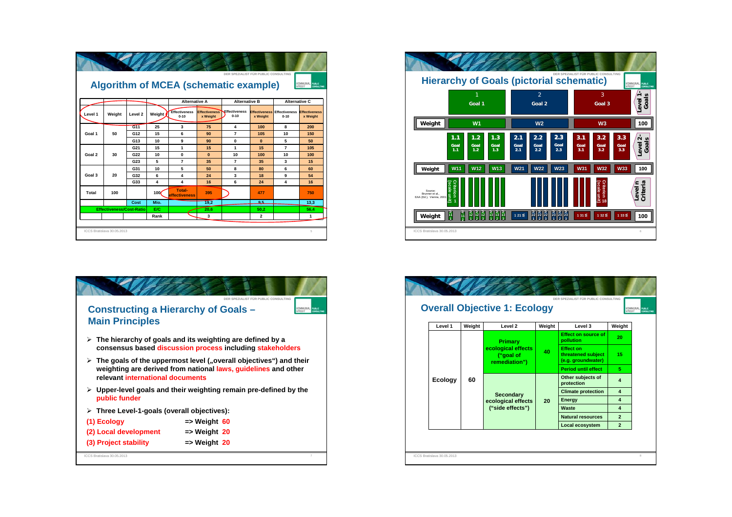|         |                                 |                    |                  | <b>Algorithm of MCEA (schematic example)</b> |                                  | DER SPEZIALIST FÜR PUBLIC CONSULTING |                         |                                                | KOMMUNAL TURE                    |
|---------|---------------------------------|--------------------|------------------|----------------------------------------------|----------------------------------|--------------------------------------|-------------------------|------------------------------------------------|----------------------------------|
|         |                                 |                    |                  | <b>Alternative A</b>                         |                                  | <b>Alternative B</b>                 |                         | <b>Alternative C</b>                           |                                  |
| Level 1 | Weight                          | Level <sub>2</sub> | Weight           | <b>Effectiveness</b><br>$0 - 10$             | <b>Effectiveness</b><br>x Weight | Effectiveness<br>$0 - 10$            | x Weight                | <b>Effectiveness Effectiveness</b><br>$0 - 10$ | <b>Effectiveness</b><br>x Weight |
|         |                                 | G11                | 25               | 3                                            | 75                               | 4                                    | 100                     | 8                                              | 200                              |
| Goal 1  | 50                              | G12                | 15               | 6                                            | 90                               | $\overline{7}$                       | 105                     | 10                                             | 150                              |
|         |                                 | G <sub>13</sub>    | 10               | 9                                            | 90                               | $\mathbf{0}$                         | $\mathbf{0}$            | 5                                              | 50                               |
|         |                                 | G <sub>21</sub>    | 15               | 1                                            | 15                               | 1                                    | 15                      | $\overline{7}$                                 | 105                              |
| Goal 2  | 30                              | G22                | 10               | $\mathbf{0}$                                 | $\bf{0}$                         | 10                                   | 100                     | 10                                             | 100                              |
|         |                                 | G23                | 5                | $\overline{7}$                               | 35                               | $\overline{7}$                       | 35                      | 3                                              | 15                               |
|         |                                 | G31                | 10               | 5                                            | 50                               | 8                                    | 80                      | 6                                              | 60                               |
| Goal 3  | 20                              | G32                | 6                | 4                                            | 24                               | 3                                    | 18                      | q                                              | 54                               |
|         |                                 | G33                | 4                | 4                                            | 16                               | 6                                    | 24                      | 4                                              | 16                               |
| Total   | 100                             |                    | 100 <sub>l</sub> | <b>Total-</b><br>effectiveness               | 395                              |                                      | 477                     |                                                | 750                              |
|         |                                 | Cost               | Mio.             |                                              | 19,2                             |                                      | ے و                     |                                                | 13,3                             |
|         | <b>Effectiveness/Cost-Ratio</b> |                    | E/C              |                                              | 20.6                             |                                      | 50.2                    |                                                | 56,4                             |
|         |                                 |                    | Rank             |                                              | 3                                |                                      | $\overline{\mathbf{2}}$ |                                                | 1                                |
|         | ICCS Bratislava 30.05.2013      |                    |                  |                                              |                                  |                                      |                         |                                                | 5                                |





|                |        | <b>Overall Objective 1: Ecology</b>                                                                                  |        | DER SPEZIALIST FÜR PUBLIC CONSULTING                         |                       |
|----------------|--------|----------------------------------------------------------------------------------------------------------------------|--------|--------------------------------------------------------------|-----------------------|
| Level 1        | Weight | Level 2                                                                                                              | Weight | Level 3                                                      | Weight                |
|                |        | <b>Primary</b>                                                                                                       |        | <b>Effect on source of</b><br>pollution                      | 20                    |
|                |        | ecological effects<br>("goal of<br>remediation")<br>60<br><b>Secondary</b><br>ecological effects<br>("side effects") | 40     | <b>Effect on</b><br>threatened subject<br>(e.g. groundwater) | 15                    |
|                |        |                                                                                                                      |        | <b>Period until effect</b>                                   | 5.                    |
| <b>Ecology</b> |        |                                                                                                                      | 20     | Other subjects of<br>protection                              | $\boldsymbol{\Delta}$ |
|                |        |                                                                                                                      |        | <b>Climate protection</b>                                    | $\overline{\bf{4}}$   |
|                |        |                                                                                                                      |        | Energy                                                       | $\overline{\bf{4}}$   |
|                |        |                                                                                                                      |        | Waste                                                        | $\overline{\bf{4}}$   |
|                |        |                                                                                                                      |        | <b>Natural resources</b>                                     | $\overline{2}$        |
|                |        |                                                                                                                      |        | Local ecosystem                                              | $\overline{2}$        |